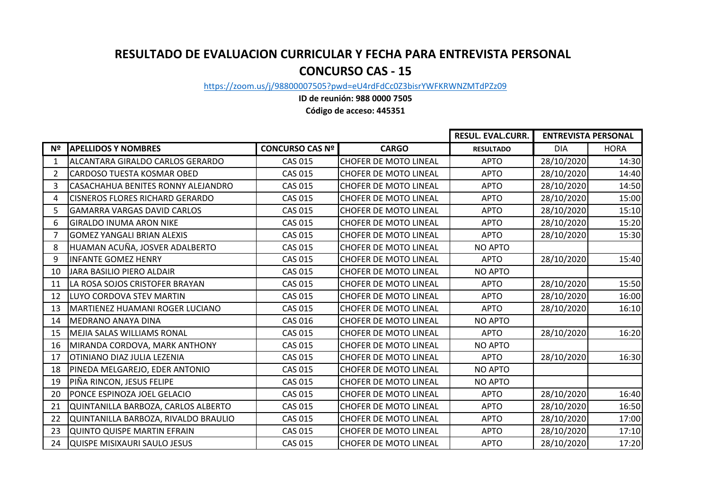## **RESULTADO DE EVALUACION CURRICULAR Y FECHA PARA ENTREVISTA PERSONAL CONCURSO CAS - 15**

[https://zoom.](https://zoom.us/j/98800007505?pwd=eU4rdFdCc0Z3bisrYWFKRWNZMTdPZz09)us/j/98800007505?pwd=eU4rdFdCc0Z3bisrYWFKRWNZMTdPZz09

**ID de reunión: 988 0000 7505**

**Código de acceso: 445351**

|    |                                        |                        |                              | RESUL. EVAL.CURR. | <b>ENTREVISTA PERSONAL</b> |             |
|----|----------------------------------------|------------------------|------------------------------|-------------------|----------------------------|-------------|
| Nº | <b>APELLIDOS Y NOMBRES</b>             | <b>CONCURSO CAS Nº</b> | <b>CARGO</b>                 | <b>RESULTADO</b>  | <b>DIA</b>                 | <b>HORA</b> |
|    | ALCANTARA GIRALDO CARLOS GERARDO       | <b>CAS 015</b>         | <b>CHOFER DE MOTO LINEAL</b> | <b>APTO</b>       | 28/10/2020                 | 14:30       |
| 2  | <b>CARDOSO TUESTA KOSMAR OBED</b>      | <b>CAS 015</b>         | <b>CHOFER DE MOTO LINEAL</b> | <b>APTO</b>       | 28/10/2020                 | 14:40       |
| 3  | CASACHAHUA BENITES RONNY ALEJANDRO     | <b>CAS 015</b>         | <b>CHOFER DE MOTO LINEAL</b> | <b>APTO</b>       | 28/10/2020                 | 14:50       |
| 4  | <b>CISNEROS FLORES RICHARD GERARDO</b> | <b>CAS 015</b>         | <b>CHOFER DE MOTO LINEAL</b> | <b>APTO</b>       | 28/10/2020                 | 15:00       |
| 5  | <b>GAMARRA VARGAS DAVID CARLOS</b>     | <b>CAS 015</b>         | <b>CHOFER DE MOTO LINEAL</b> | <b>APTO</b>       | 28/10/2020                 | 15:10       |
| 6  | <b>GIRALDO INUMA ARON NIKE</b>         | <b>CAS 015</b>         | <b>CHOFER DE MOTO LINEAL</b> | <b>APTO</b>       | 28/10/2020                 | 15:20       |
| 7  | <b>GOMEZ YANGALI BRIAN ALEXIS</b>      | <b>CAS 015</b>         | <b>CHOFER DE MOTO LINEAL</b> | <b>APTO</b>       | 28/10/2020                 | 15:30       |
| 8  | HUAMAN ACUÑA, JOSVER ADALBERTO         | <b>CAS 015</b>         | <b>CHOFER DE MOTO LINEAL</b> | NO APTO           |                            |             |
| 9  | <b>INFANTE GOMEZ HENRY</b>             | <b>CAS 015</b>         | <b>CHOFER DE MOTO LINEAL</b> | <b>APTO</b>       | 28/10/2020                 | 15:40       |
| 10 | JARA BASILIO PIERO ALDAIR              | <b>CAS 015</b>         | <b>CHOFER DE MOTO LINEAL</b> | <b>NO APTO</b>    |                            |             |
| 11 | LA ROSA SOJOS CRISTOFER BRAYAN         | <b>CAS 015</b>         | <b>CHOFER DE MOTO LINEAL</b> | <b>APTO</b>       | 28/10/2020                 | 15:50       |
| 12 | LUYO CORDOVA STEV MARTIN               | <b>CAS 015</b>         | <b>CHOFER DE MOTO LINEAL</b> | <b>APTO</b>       | 28/10/2020                 | 16:00       |
| 13 | MARTIENEZ HUAMANI ROGER LUCIANO        | <b>CAS 015</b>         | <b>CHOFER DE MOTO LINEAL</b> | <b>APTO</b>       | 28/10/2020                 | 16:10       |
| 14 | MEDRANO ANAYA DINA                     | <b>CAS 016</b>         | <b>CHOFER DE MOTO LINEAL</b> | <b>NO APTO</b>    |                            |             |
| 15 | MEJIA SALAS WILLIAMS RONAL             | <b>CAS 015</b>         | CHOFER DE MOTO LINEAL        | <b>APTO</b>       | 28/10/2020                 | 16:20       |
| 16 | MIRANDA CORDOVA, MARK ANTHONY          | <b>CAS 015</b>         | <b>CHOFER DE MOTO LINEAL</b> | <b>NO APTO</b>    |                            |             |
| 17 | OTINIANO DIAZ JULIA LEZENIA            | <b>CAS 015</b>         | <b>CHOFER DE MOTO LINEAL</b> | <b>APTO</b>       | 28/10/2020                 | 16:30       |
| 18 | PINEDA MELGAREJO, EDER ANTONIO         | <b>CAS 015</b>         | <b>CHOFER DE MOTO LINEAL</b> | NO APTO           |                            |             |
| 19 | PIÑA RINCON, JESUS FELIPE              | <b>CAS 015</b>         | <b>CHOFER DE MOTO LINEAL</b> | <b>NO APTO</b>    |                            |             |
| 20 | PONCE ESPINOZA JOEL GELACIO            | CAS 015                | <b>CHOFER DE MOTO LINEAL</b> | <b>APTO</b>       | 28/10/2020                 | 16:40       |
| 21 | QUINTANILLA BARBOZA, CARLOS ALBERTO    | <b>CAS 015</b>         | <b>CHOFER DE MOTO LINEAL</b> | <b>APTO</b>       | 28/10/2020                 | 16:50       |
| 22 | QUINTANILLA BARBOZA, RIVALDO BRAULIO   | <b>CAS 015</b>         | CHOFER DE MOTO LINEAL        | <b>APTO</b>       | 28/10/2020                 | 17:00       |
| 23 | QUINTO QUISPE MARTIN EFRAIN            | <b>CAS 015</b>         | <b>CHOFER DE MOTO LINEAL</b> | <b>APTO</b>       | 28/10/2020                 | 17:10       |
| 24 | QUISPE MISIXAURI SAULO JESUS           | <b>CAS 015</b>         | <b>CHOFER DE MOTO LINEAL</b> | <b>APTO</b>       | 28/10/2020                 | 17:20       |